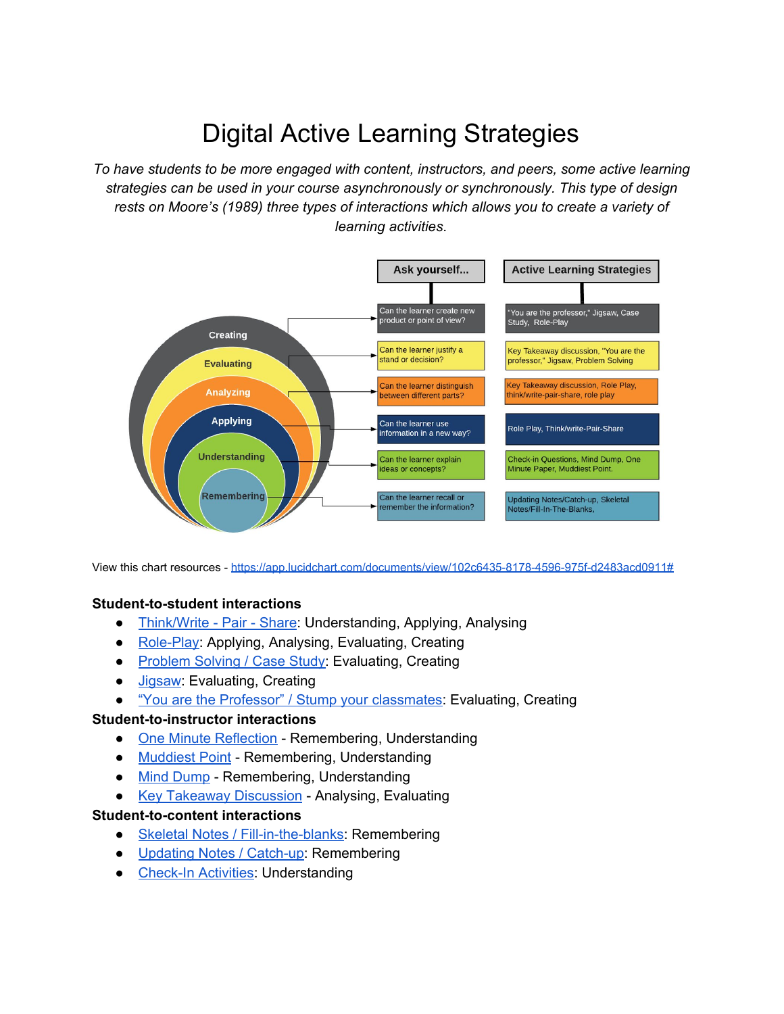### Digital Active Learning Strategies

*To have students to be more engaged with content, instructors, and peers, some active learning strategies can be used in your course asynchronously or synchronously. This type of design rests on Moore's (1989) three types of interactions which allows you to create a variety of learning activities*.



View this chart resources - <https://app.lucidchart.com/documents/view/102c6435-8178-4596-975f-d2483acd0911#>

#### **Student-to-student interactions**

- [Think/Write](#page-1-0) Pair Share: Understanding, Applying, Analysing
- [Role-Play:](#page-1-1) Applying, Analysing, Evaluating, Creating
- [Problem](#page-2-0) Solving / Case Study: Evaluating, Creating
- [Jigsaw:](#page-2-1) Evaluating, Creating
- "You are the Professor" / Stump your [classmates:](#page-3-0) Evaluating, Creating

#### **Student-to-instructor interactions**

- One Minute [Reflection](#page-3-1) Remembering, Understanding
- [Muddiest](#page-4-0) Point Remembering, Understanding
- Mind [Dump](#page-4-1) Remembering, Understanding
- Key Takeaway [Discussion](#page-5-0) Analysing, Evaluating

#### **Student-to-content interactions**

- Skeletal Notes / [Fill-in-the-blanks](#page-6-0): Remembering
- Updating Notes / [Catch-up:](#page-6-1) Remembering
- [Check-In](#page-7-0) Activities: Understanding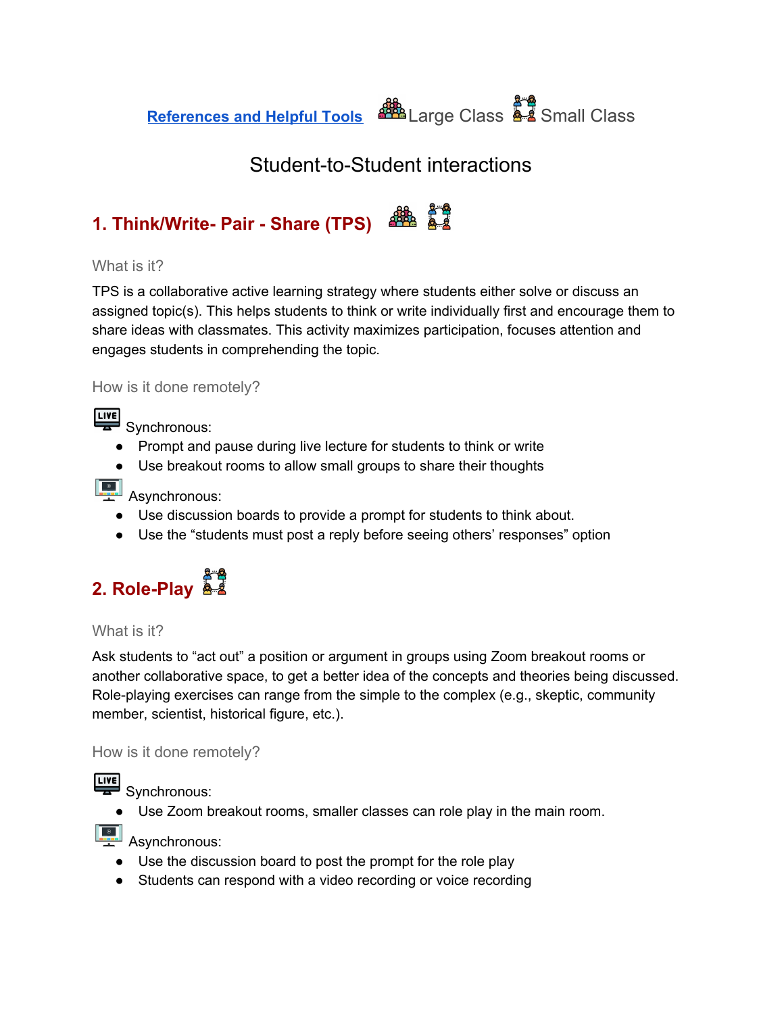**[References and Helpful Tools](#page-7-1)** 888 Large Class 8-8 Small Class

### Student-to-Student interactions

#### <span id="page-1-0"></span>**ABA 1. Think/Write- Pair - Share (TPS)**

What is it?

TPS is a collaborative active learning strategy where students either solve or discuss an assigned topic(s). This helps students to think or write individually first and encourage them to share ideas with classmates. This activity maximizes participation, focuses attention and engages students in comprehending the topic.

How is it done remotely?

**LIVE** Synchronous:

- Prompt and pause during live lecture for students to think or write
- Use breakout rooms to allow small groups to share their thoughts

**Asynchronous:** 

- Use discussion boards to provide a prompt for students to think about.
- Use the "students must post a reply before seeing others' responses" option

## <span id="page-1-1"></span>**2. Role-Play**

### What is it?

Ask students to "act out" a position or argument in groups using Zoom breakout rooms or another collaborative space, to get a better idea of the concepts and theories being discussed. Role-playing exercises can range from the simple to the complex (e.g., skeptic, community member, scientist, historical figure, etc.).

### How is it done remotely?



Synchronous:

● Use Zoom breakout rooms, smaller classes can role play in the main room.

**Asynchronous:** 

- Use the discussion board to post the prompt for the role play
- Students can respond with a video recording or voice recording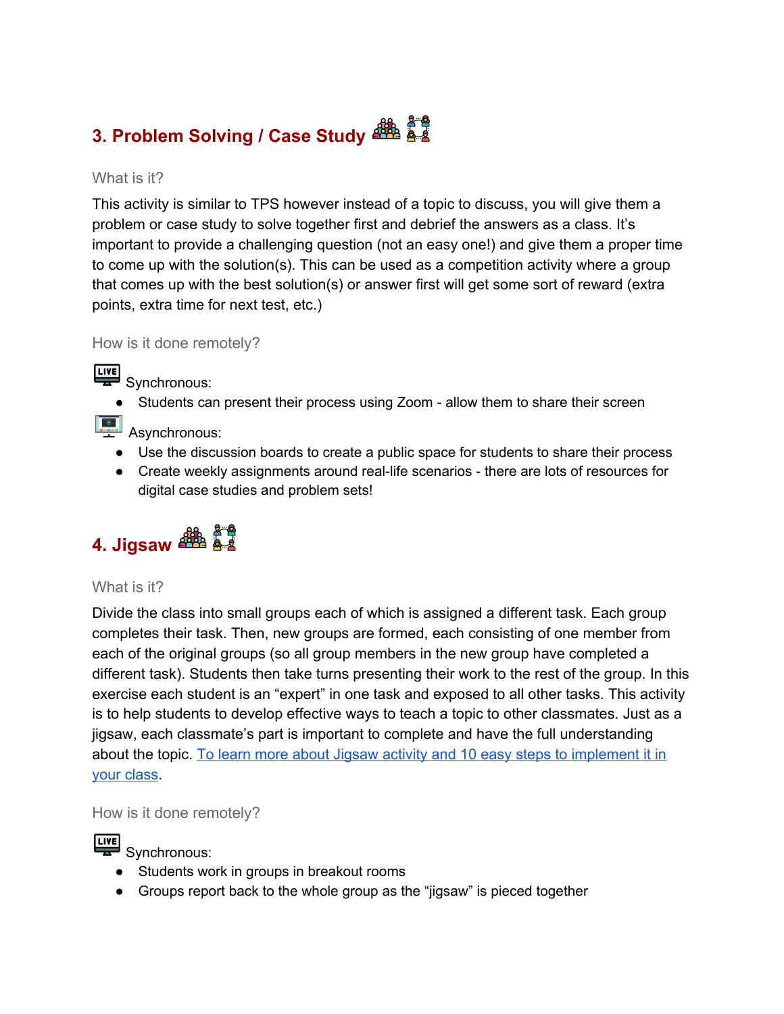# <span id="page-2-0"></span>**3. Problem Solving / Case Study**

#### What is it?

This activity is similar to TPS however instead of a topic to discuss, you will give them a problem or case study to solve together first and debrief the answers as a class. It's important to provide a challenging question (not an easy one!) and give them a proper time to come up with the solution(s). This can be used as a competition activity where a group that comes up with the best solution(s) or answer first will get some sort of reward (extra points, extra time for next test, etc.)

How is it done remotely?



EIVE Synchronous:

● Students can present their process using Zoom - allow them to share their screen

### **Level** Asynchronous:

- Use the discussion boards to create a public space for students to share their process
- Create weekly assignments around real-life scenarios there are lots of resources for digital case studies and problem sets!

# <span id="page-2-1"></span>**4. Jigsaw**

### What is it?

Divide the class into small groups each of which is assigned a different task. Each group completes their task. Then, new groups are formed, each consisting of one member from each of the original groups (so all group members in the new group have completed a different task). Students then take turns presenting their work to the rest of the group. In this exercise each student is an "expert" in one task and exposed to all other tasks. This activity is to help students to develop effective ways to teach a topic to other classmates. Just as a jigsaw, each classmate's part is important to complete and have the full understanding about the topic. To learn more about Jigsaw activity and 10 easy steps to [implement](https://www.jigsaw.org/#steps) it in your [class.](https://www.jigsaw.org/#steps)

How is it done remotely?



**LIVE** Synchronous:

- Students work in groups in breakout rooms
- Groups report back to the whole group as the "jigsaw" is pieced together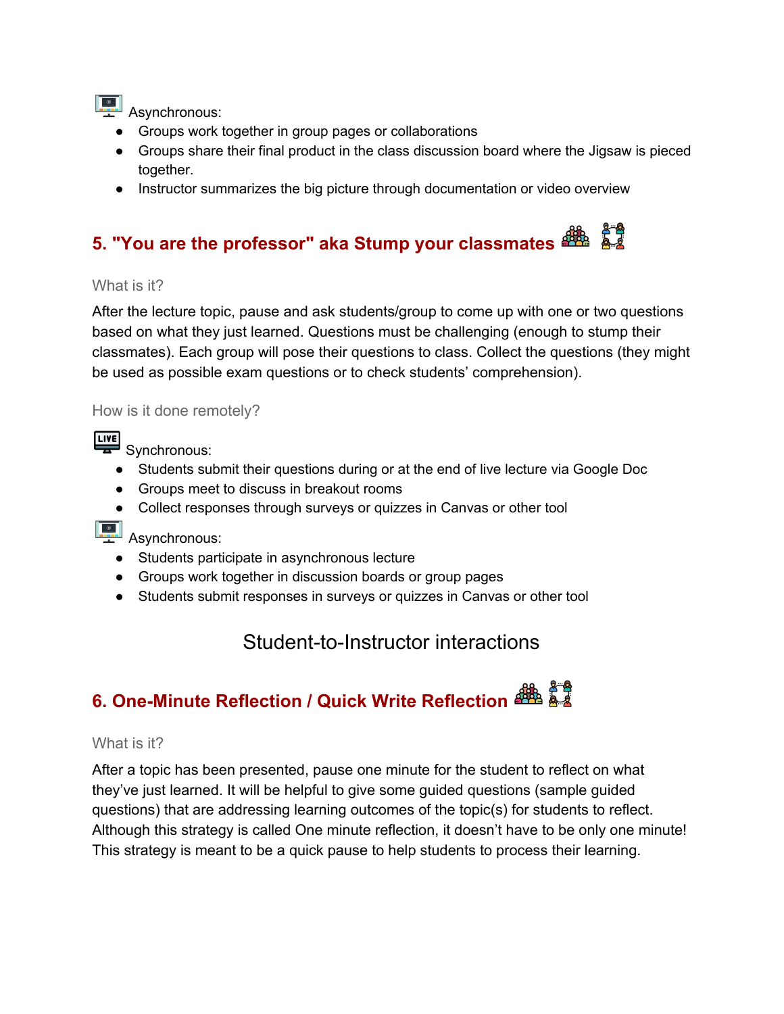

**Asynchronous:** 

- Groups work together in group pages or collaborations
- Groups share their final product in the class discussion board where the Jigsaw is pieced together.
- Instructor summarizes the big picture through documentation or video overview

# <span id="page-3-0"></span>**5. "You are the professor" aka Stump your classmates**

### What is it?

After the lecture topic, pause and ask students/group to come up with one or two questions based on what they just learned. Questions must be challenging (enough to stump their classmates). Each group will pose their questions to class. Collect the questions (they might be used as possible exam questions or to check students' comprehension).

#### How is it done remotely?

**LIVE** Synchronous:

- Students submit their questions during or at the end of live lecture via Google Doc
- Groups meet to discuss in breakout rooms
- Collect responses through surveys or quizzes in Canvas or other tool
- 
- **Asynchronous:** 
	- Students participate in asynchronous lecture
	- Groups work together in discussion boards or group pages
	- Students submit responses in surveys or quizzes in Canvas or other tool

Student-to-Instructor interactions

## <span id="page-3-1"></span>**6. One-Minute Reflection / Quick Write Reflection**

#### What is it?

After a topic has been presented, pause one minute for the student to reflect on what they've just learned. It will be helpful to give some guided questions (sample guided questions) that are addressing learning outcomes of the topic(s) for students to reflect. Although this strategy is called One minute reflection, it doesn't have to be only one minute! This strategy is meant to be a quick pause to help students to process their learning.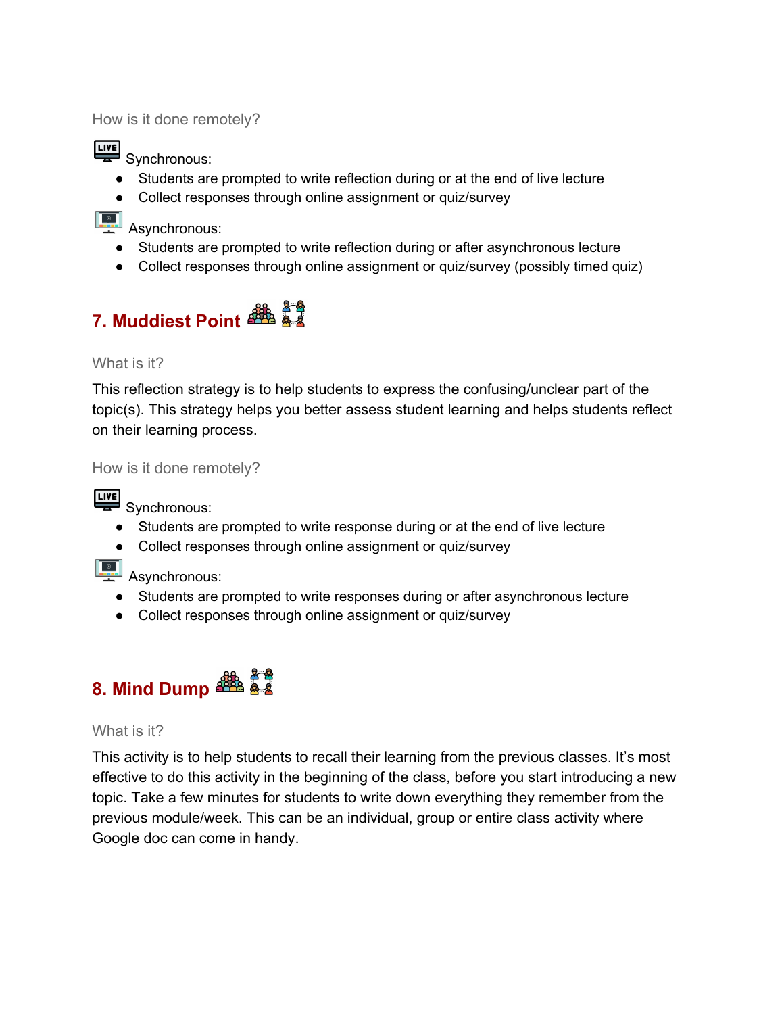How is it done remotely?



**LIVE** Synchronous:

- Students are prompted to write reflection during or at the end of live lecture
- Collect responses through online assignment or quiz/survey
- 
- **Asynchronous:** 
	- Students are prompted to write reflection during or after asynchronous lecture
	- Collect responses through online assignment or quiz/survey (possibly timed quiz)

### <span id="page-4-0"></span>**7. Muddiest Point**

### What is it?

This reflection strategy is to help students to express the confusing/unclear part of the topic(s). This strategy helps you better assess student learning and helps students reflect on their learning process.

How is it done remotely?

**LIVE** Synchronous:

- Students are prompted to write response during or at the end of live lecture
- Collect responses through online assignment or quiz/survey
- 
- **Asynchronous:** 
	- Students are prompted to write responses during or after asynchronous lecture
	- Collect responses through online assignment or quiz/survey

## <span id="page-4-1"></span>**8. Mind Dump**

### What is it?

This activity is to help students to recall their learning from the previous classes. It's most effective to do this activity in the beginning of the class, before you start introducing a new topic. Take a few minutes for students to write down everything they remember from the previous module/week. This can be an individual, group or entire class activity where Google doc can come in handy.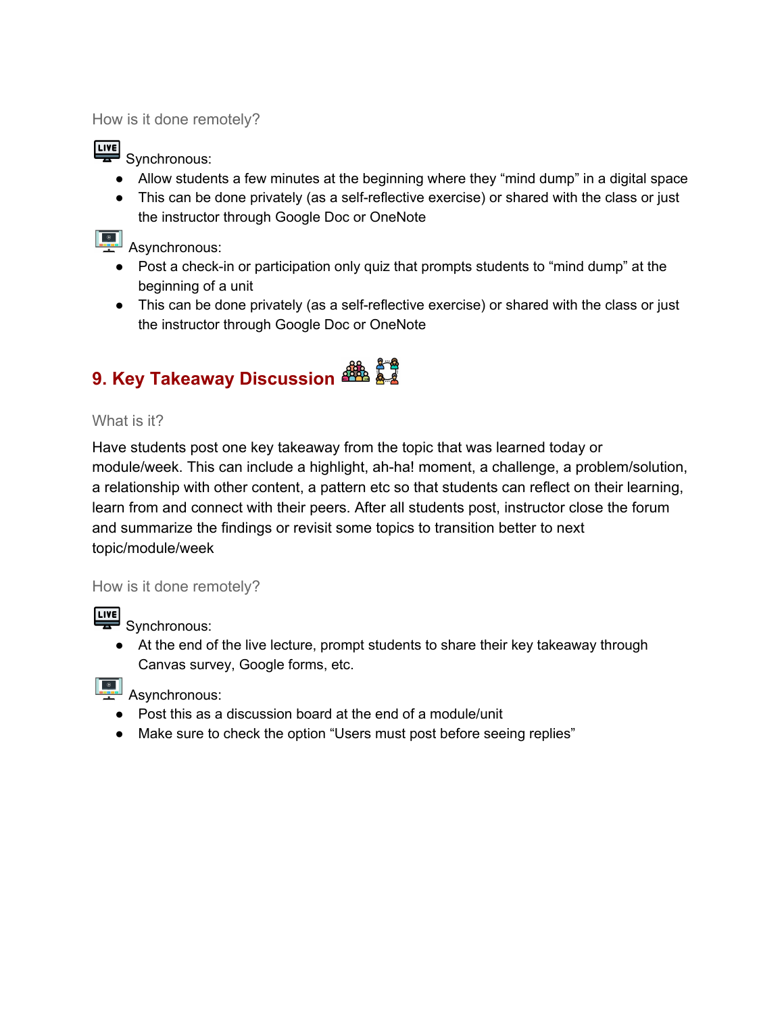How is it done remotely?



**LIVE** Synchronous:

- Allow students a few minutes at the beginning where they "mind dump" in a digital space
- This can be done privately (as a self-reflective exercise) or shared with the class or just the instructor through Google Doc or OneNote

**Asynchronous:** 

- Post a check-in or participation only quiz that prompts students to "mind dump" at the beginning of a unit
- This can be done privately (as a self-reflective exercise) or shared with the class or just the instructor through Google Doc or OneNote

# <span id="page-5-0"></span>**9. Key Takeaway Discussion**

### What is it?

Have students post one key takeaway from the topic that was learned today or module/week. This can include a highlight, ah-ha! moment, a challenge, a problem/solution, a relationship with other content, a pattern etc so that students can reflect on their learning, learn from and connect with their peers. After all students post, instructor close the forum and summarize the findings or revisit some topics to transition better to next topic/module/week

### How is it done remotely?

EIVE Synchronous:

● At the end of the live lecture, prompt students to share their key takeaway through Canvas survey, Google forms, etc.

### **Asynchronous:**

- Post this as a discussion board at the end of a module/unit
- Make sure to check the option "Users must post before seeing replies"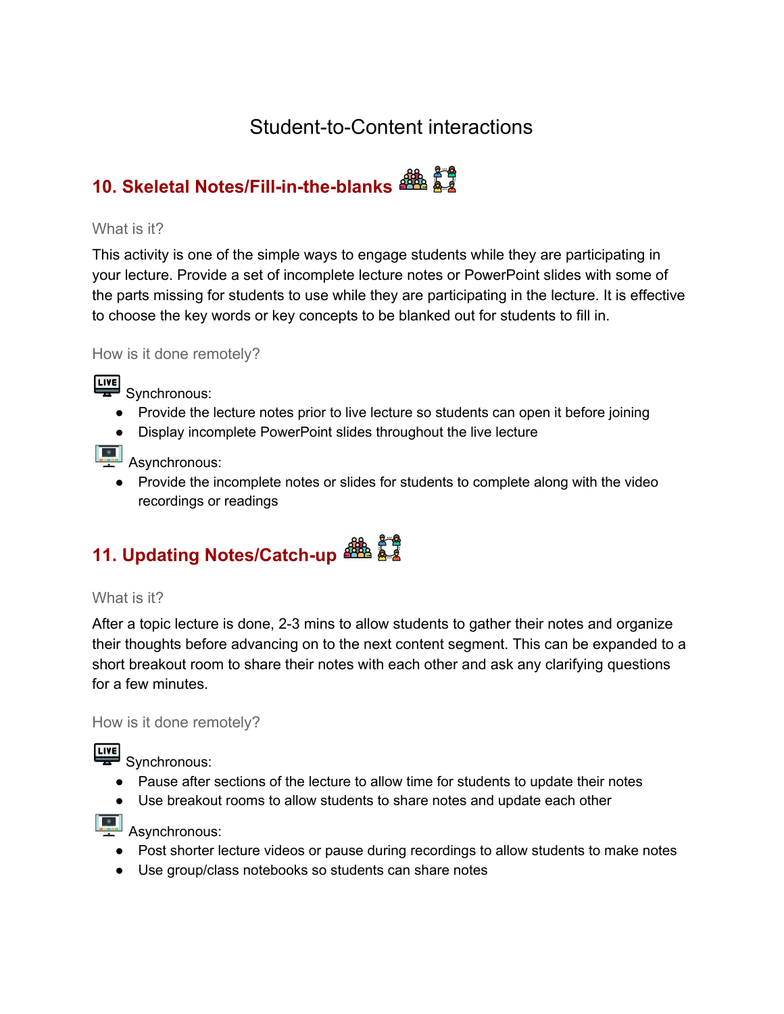### Student-to-Content interactions

## <span id="page-6-0"></span>**10. Skeletal Notes/Fill-in-the-blanks**

#### What is it?

This activity is one of the simple ways to engage students while they are participating in your lecture. Provide a set of incomplete lecture notes or PowerPoint slides with some of the parts missing for students to use while they are participating in the lecture. It is effective to choose the key words or key concepts to be blanked out for students to fill in.

How is it done remotely?

**LIVE** Synchronous:

- Provide the lecture notes prior to live lecture so students can open it before joining
- Display incomplete PowerPoint slides throughout the live lecture

**Asynchronous:** 

● Provide the incomplete notes or slides for students to complete along with the video recordings or readings

# <span id="page-6-1"></span>**11. Updating Notes/Catch-up**

### What is it?

After a topic lecture is done, 2-3 mins to allow students to gather their notes and organize their thoughts before advancing on to the next content segment. This can be expanded to a short breakout room to share their notes with each other and ask any clarifying questions for a few minutes.

How is it done remotely?

LIVE Synchronous:

- Pause after sections of the lecture to allow time for students to update their notes
- Use breakout rooms to allow students to share notes and update each other

**Asynchronous:** 

- Post shorter lecture videos or pause during recordings to allow students to make notes
- Use group/class notebooks so students can share notes